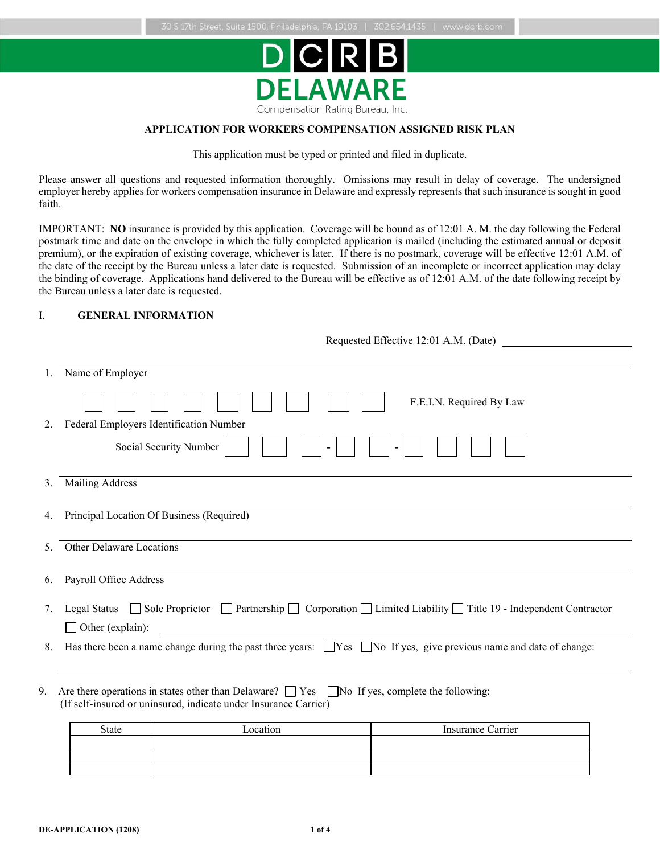

## **APPLICATION FOR WORKERS COMPENSATION ASSIGNED RISK PLAN**

This application must be typed or printed and filed in duplicate.

Please answer all questions and requested information thoroughly. Omissions may result in delay of coverage. The undersigned employer hereby applies for workers compensation insurance in Delaware and expressly represents that such insurance is sought in good faith.

IMPORTANT: **NO** insurance is provided by this application. Coverage will be bound as of 12:01 A. M. the day following the Federal postmark time and date on the envelope in which the fully completed application is mailed (including the estimated annual or deposit premium), or the expiration of existing coverage, whichever is later. If there is no postmark, coverage will be effective 12:01 A.M. of the date of the receipt by the Bureau unless a later date is requested. Submission of an incomplete or incorrect application may delay the binding of coverage. Applications hand delivered to the Bureau will be effective as of 12:01 A.M. of the date following receipt by the Bureau unless a later date is requested.

Requested Effective 12:01 A.M. (Date)

## I. **GENERAL INFORMATION**

| 1. | Name of Employer                                                                                            |
|----|-------------------------------------------------------------------------------------------------------------|
|    | F.E.I.N. Required By Law                                                                                    |
| 2. | Federal Employers Identification Number                                                                     |
|    | Social Security Number                                                                                      |
| 3. | Mailing Address                                                                                             |
|    |                                                                                                             |
| 4. | Principal Location Of Business (Required)                                                                   |
|    |                                                                                                             |
| 5. | Other Delaware Locations                                                                                    |
|    |                                                                                                             |
| 6. | Payroll Office Address                                                                                      |
|    |                                                                                                             |
| 7. | Legal Status Sole Proprietor Partnership Corporation ILimited Liability Title 19 - Independent Contractor   |
|    | Other (explain):                                                                                            |
| 8. | Has there been a name change during the past three years: No If yes, give previous name and date of change: |
|    |                                                                                                             |
| 9. | Are there operations in states other than Delaware? $\Box$ Yes $\Box$ No If yes, complete the following:    |
|    | (If self-insured or uninsured, indicate under Insurance Carrier)                                            |
|    |                                                                                                             |

| State | Location | Insurance Carrier |
|-------|----------|-------------------|
|       |          |                   |
|       |          |                   |
|       |          |                   |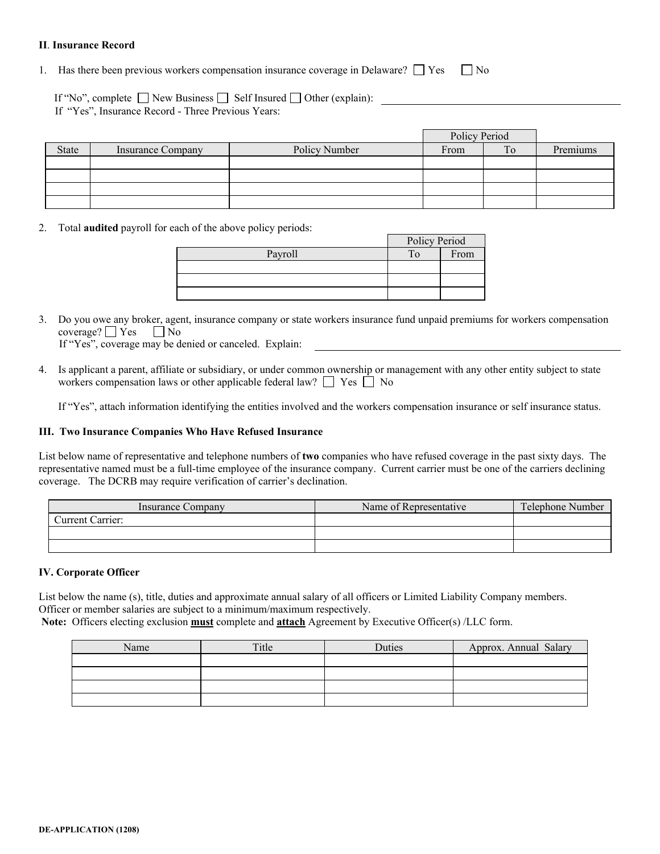## **II**. **Insurance Record**

1. Has there been previous workers compensation insurance coverage in Delaware?  $\Box$  Yes  $\Box$  No

If "No", complete  $\Box$  New Business  $\Box$  Self Insured  $\Box$  Other (explain): If "Yes", Insurance Record - Three Previous Years:

|              |                          |               | Policy Period |     |          |
|--------------|--------------------------|---------------|---------------|-----|----------|
| <b>State</b> | <b>Insurance Company</b> | Policy Number | From          | To. | Premiums |
|              |                          |               |               |     |          |
|              |                          |               |               |     |          |
|              |                          |               |               |     |          |
|              |                          |               |               |     |          |

2. Total **audited** payroll for each of the above policy periods:

|         | Policy Period |      |
|---------|---------------|------|
| Payroll |               | From |
|         |               |      |
|         |               |      |
|         |               |      |

3. Do you owe any broker, agent, insurance company or state workers insurance fund unpaid premiums for workers compensation coverage?  $\Box$  Yes  $\Box$  No

If "Yes", coverage may be denied or canceled. Explain:

4. Is applicant a parent, affiliate or subsidiary, or under common ownership or management with any other entity subject to state workers compensation laws or other applicable federal law?  $\Box$  Yes  $\Box$  No

If "Yes", attach information identifying the entities involved and the workers compensation insurance or self insurance status.

## **III. Two Insurance Companies Who Have Refused Insurance**

List below name of representative and telephone numbers of **two** companies who have refused coverage in the past sixty days. The representative named must be a full-time employee of the insurance company. Current carrier must be one of the carriers declining coverage. The DCRB may require verification of carrier's declination.

| Insurance Company | Name of Representative | Telephone Number |
|-------------------|------------------------|------------------|
| Current Carrier:  |                        |                  |
|                   |                        |                  |
|                   |                        |                  |

## **IV. Corporate Officer**

List below the name (s), title, duties and approximate annual salary of all officers or Limited Liability Company members. Officer or member salaries are subject to a minimum/maximum respectively.

**Note:** Officers electing exclusion **must** complete and **attach** Agreement by Executive Officer(s) /LLC form.

| Name | Title | Duties | Approx. Annual Salary |
|------|-------|--------|-----------------------|
|      |       |        |                       |
|      |       |        |                       |
|      |       |        |                       |
|      |       |        |                       |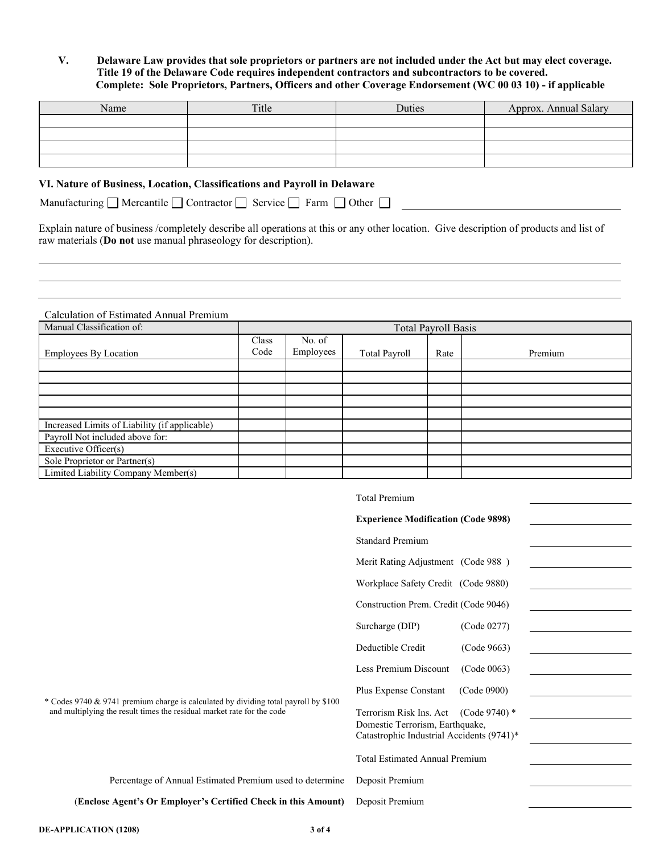## **V. Delaware Law provides that sole proprietors or partners are not included under the Act but may elect coverage. Title 19 of the Delaware Code requires independent contractors and subcontractors to be covered. Complete: Sole Proprietors, Partners, Officers and other Coverage Endorsement (WC 00 03 10) - if applicable**

| Name | Title | Duties | Approx. Annual Salary |
|------|-------|--------|-----------------------|
|      |       |        |                       |
|      |       |        |                       |
|      |       |        |                       |
|      |       |        |                       |

# **VI. Nature of Business, Location, Classifications and Payroll in Delaware**

|  | Manufacturing $\Box$ Mercantile $\Box$ Contractor $\Box$ Service $\Box$ Farm $\Box$ Other $\Box$ |  |  |  |  |  |
|--|--------------------------------------------------------------------------------------------------|--|--|--|--|--|
|--|--------------------------------------------------------------------------------------------------|--|--|--|--|--|

Explain nature of business /completely describe all operations at this or any other location. Give description of products and list of raw materials (**Do not** use manual phraseology for description).

Calculation of Estimated Annual Premium

| Manual Classification of:                     | <b>Total Payroll Basis</b> |           |                      |      |         |  |
|-----------------------------------------------|----------------------------|-----------|----------------------|------|---------|--|
|                                               | Class                      | No. of    |                      |      |         |  |
| <b>Employees By Location</b>                  | Code                       | Employees | <b>Total Payroll</b> | Rate | Premium |  |
|                                               |                            |           |                      |      |         |  |
|                                               |                            |           |                      |      |         |  |
|                                               |                            |           |                      |      |         |  |
|                                               |                            |           |                      |      |         |  |
|                                               |                            |           |                      |      |         |  |
| Increased Limits of Liability (if applicable) |                            |           |                      |      |         |  |
| Payroll Not included above for:               |                            |           |                      |      |         |  |
| Executive Officer(s)                          |                            |           |                      |      |         |  |
| Sole Proprietor or Partner(s)                 |                            |           |                      |      |         |  |
| Limited Liability Company Member(s)           |                            |           |                      |      |         |  |

|                                                                                                                                                               | <b>Total Premium</b>                                                                                                                                               |  |  |  |
|---------------------------------------------------------------------------------------------------------------------------------------------------------------|--------------------------------------------------------------------------------------------------------------------------------------------------------------------|--|--|--|
|                                                                                                                                                               | <b>Experience Modification (Code 9898)</b>                                                                                                                         |  |  |  |
|                                                                                                                                                               | <b>Standard Premium</b>                                                                                                                                            |  |  |  |
|                                                                                                                                                               | Merit Rating Adjustment (Code 988)                                                                                                                                 |  |  |  |
|                                                                                                                                                               | Workplace Safety Credit (Code 9880)                                                                                                                                |  |  |  |
|                                                                                                                                                               | Construction Prem. Credit (Code 9046)                                                                                                                              |  |  |  |
|                                                                                                                                                               | Surcharge (DIP)<br>(Code 0277)                                                                                                                                     |  |  |  |
|                                                                                                                                                               | Deductible Credit<br>(Code 9663)                                                                                                                                   |  |  |  |
|                                                                                                                                                               | Less Premium Discount<br>(Code 0063)                                                                                                                               |  |  |  |
|                                                                                                                                                               | Plus Expense Constant<br>(Code 0900)                                                                                                                               |  |  |  |
| * Codes 9740 & 9741 premium charge is calculated by dividing total payroll by \$100<br>and multiplying the result times the residual market rate for the code | Terrorism Risk Ins. Act<br>$(Code 9740)*$<br>Domestic Terrorism, Earthquake,<br>Catastrophic Industrial Accidents (9741)*<br><b>Total Estimated Annual Premium</b> |  |  |  |
| Percentage of Annual Estimated Premium used to determine                                                                                                      | Deposit Premium                                                                                                                                                    |  |  |  |
| (Enclose Agent's Or Employer's Certified Check in this Amount)                                                                                                | Deposit Premium                                                                                                                                                    |  |  |  |
|                                                                                                                                                               |                                                                                                                                                                    |  |  |  |